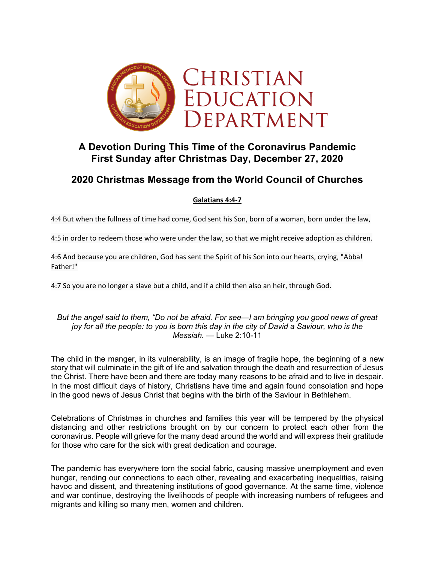

## **A Devotion During This Time of the Coronavirus Pandemic First Sunday after Christmas Day, December 27, 2020**

# **2020 Christmas Message from the World Council of Churches**

### **Galatians 4:4-7**

4:4 But when the fullness of time had come, God sent his Son, born of a woman, born under the law,

4:5 in order to redeem those who were under the law, so that we might receive adoption as children.

4:6 And because you are children, God has sent the Spirit of his Son into our hearts, crying, "Abba! Father!"

4:7 So you are no longer a slave but a child, and if a child then also an heir, through God.

### *But the angel said to them, "Do not be afraid. For see—I am bringing you good news of great joy for all the people: to you is born this day in the city of David a Saviour, who is the Messiah.* — Luke 2:10-11

The child in the manger, in its vulnerability, is an image of fragile hope, the beginning of a new story that will culminate in the gift of life and salvation through the death and resurrection of Jesus the Christ. There have been and there are today many reasons to be afraid and to live in despair. In the most difficult days of history, Christians have time and again found consolation and hope in the good news of Jesus Christ that begins with the birth of the Saviour in Bethlehem.

Celebrations of Christmas in churches and families this year will be tempered by the physical distancing and other restrictions brought on by our concern to protect each other from the coronavirus. People will grieve for the many dead around the world and will express their gratitude for those who care for the sick with great dedication and courage.

The pandemic has everywhere torn the social fabric, causing massive unemployment and even hunger, rending our connections to each other, revealing and exacerbating inequalities, raising havoc and dissent, and threatening institutions of good governance. At the same time, violence and war continue, destroying the livelihoods of people with increasing numbers of refugees and migrants and killing so many men, women and children.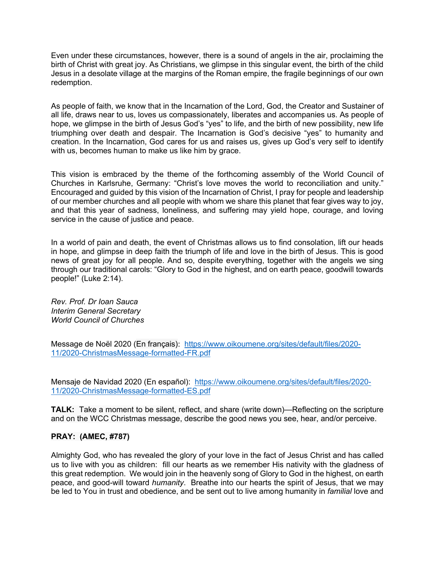Even under these circumstances, however, there is a sound of angels in the air, proclaiming the birth of Christ with great joy. As Christians, we glimpse in this singular event, the birth of the child Jesus in a desolate village at the margins of the Roman empire, the fragile beginnings of our own redemption.

As people of faith, we know that in the Incarnation of the Lord, God, the Creator and Sustainer of all life, draws near to us, loves us compassionately, liberates and accompanies us. As people of hope, we glimpse in the birth of Jesus God's "yes" to life, and the birth of new possibility, new life triumphing over death and despair. The Incarnation is God's decisive "yes" to humanity and creation. In the Incarnation, God cares for us and raises us, gives up God's very self to identify with us, becomes human to make us like him by grace.

This vision is embraced by the theme of the forthcoming assembly of the World Council of Churches in Karlsruhe, Germany: "Christ's love moves the world to reconciliation and unity." Encouraged and guided by this vision of the Incarnation of Christ, I pray for people and leadership of our member churches and all people with whom we share this planet that fear gives way to joy, and that this year of sadness, loneliness, and suffering may yield hope, courage, and loving service in the cause of justice and peace.

In a world of pain and death, the event of Christmas allows us to find consolation, lift our heads in hope, and glimpse in deep faith the triumph of life and love in the birth of Jesus. This is good news of great joy for all people. And so, despite everything, together with the angels we sing through our traditional carols: "Glory to God in the highest, and on earth peace, goodwill towards people!" (Luke 2:14).

*Rev. Prof. Dr Ioan Sauca Interim General Secretary World Council of Churches*

Message de Noël 2020 (En français): https://www.oikoumene.org/sites/default/files/2020- 11/2020-ChristmasMessage-formatted-FR.pdf

Mensaje de Navidad 2020 (En español): https://www.oikoumene.org/sites/default/files/2020- 11/2020-ChristmasMessage-formatted-ES.pdf

**TALK:** Take a moment to be silent, reflect, and share (write down)—Reflecting on the scripture and on the WCC Christmas message, describe the good news you see, hear, and/or perceive.

### **PRAY: (AMEC, #787)**

Almighty God, who has revealed the glory of your love in the fact of Jesus Christ and has called us to live with you as children: fill our hearts as we remember His nativity with the gladness of this great redemption. We would join in the heavenly song of Glory to God in the highest, on earth peace, and good-will toward *humanity*. Breathe into our hearts the spirit of Jesus, that we may be led to You in trust and obedience, and be sent out to live among humanity in *familial* love and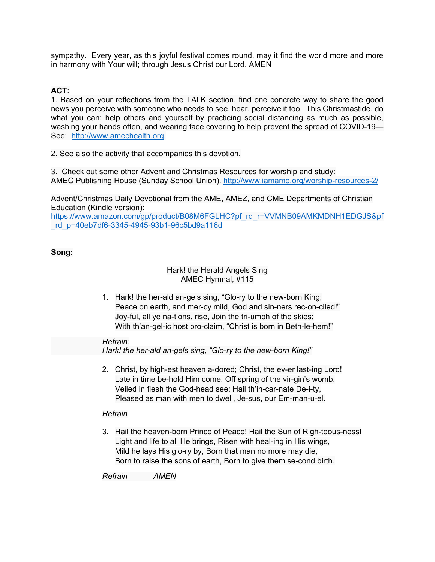sympathy. Every year, as this joyful festival comes round, may it find the world more and more in harmony with Your will; through Jesus Christ our Lord. AMEN

## **ACT:**

1. Based on your reflections from the TALK section, find one concrete way to share the good news you perceive with someone who needs to see, hear, perceive it too. This Christmastide, do what you can; help others and yourself by practicing social distancing as much as possible, washing your hands often, and wearing face covering to help prevent the spread of COVID-19— See: http://www.amechealth.org.

2. See also the activity that accompanies this devotion.

3. Check out some other Advent and Christmas Resources for worship and study: AMEC Publishing House (Sunday School Union). http://www.iamame.org/worship-resources-2/

Advent/Christmas Daily Devotional from the AME, AMEZ, and CME Departments of Christian Education (Kindle version):

https://www.amazon.com/gp/product/B08M6FGLHC?pf\_rd\_r=VVMNB09AMKMDNH1EDGJS&pf \_rd\_p=40eb7df6-3345-4945-93b1-96c5bd9a116d

### **Song:**

### Hark! the Herald Angels Sing AMEC Hymnal, #115

1. Hark! the her-ald an-gels sing, "Glo-ry to the new-born King; Peace on earth, and mer-cy mild, God and sin-ners rec-on-ciled!" Joy-ful, all ye na-tions, rise, Join the tri-umph of the skies; With th'an-gel-ic host pro-claim, "Christ is born in Beth-le-hem!"

#### *Refrain:*

*Hark! the her-ald an-gels sing, "Glo-ry to the new-born King!"*

2. Christ, by high-est heaven a-dored; Christ, the ev-er last-ing Lord! Late in time be-hold Him come, Off spring of the vir-gin's womb. Veiled in flesh the God-head see; Hail th'in-car-nate De-i-ty, Pleased as man with men to dwell, Je-sus, our Em-man-u-el.

### *Refrain*

3. Hail the heaven-born Prince of Peace! Hail the Sun of Righ-teous-ness! Light and life to all He brings, Risen with heal-ing in His wings, Mild he lays His glo-ry by, Born that man no more may die, Born to raise the sons of earth, Born to give them se-cond birth.

*Refrain AMEN*